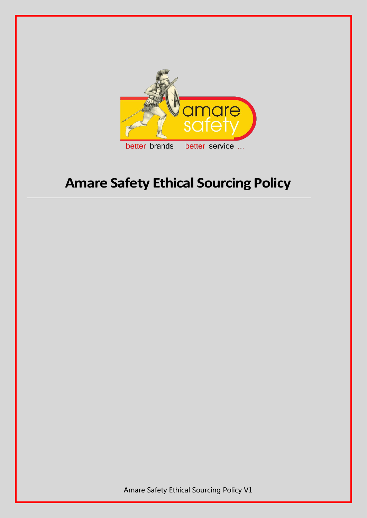

# **Amare Safety Ethical Sourcing Policy**

Amare Safety Ethical Sourcing Policy V1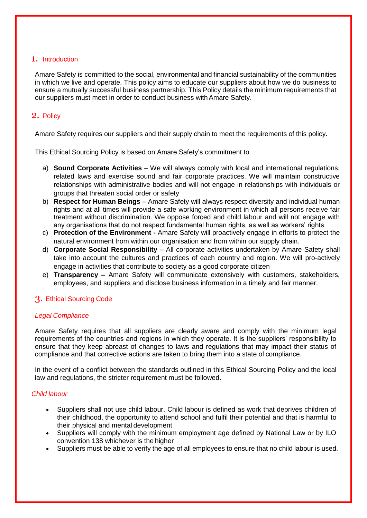#### 1. Introduction

Amare Safety is committed to the social, environmental and financial sustainability of the communities in which we live and operate. This policy aims to educate our suppliers about how we do business to ensure a mutually successful business partnership. This Policy details the minimum requirements that our suppliers must meet in order to conduct business withAmare Safety.

## 2. Policy

Amare Safety requires our suppliers and their supply chain to meet the requirements of this policy.

This Ethical Sourcing Policy is based on Amare Safety's commitment to

- a) **Sound Corporate Activities** We will always comply with local and international regulations, related laws and exercise sound and fair corporate practices. We will maintain constructive relationships with administrative bodies and will not engage in relationships with individuals or groups that threaten social order or safety
- b) **Respect for Human Beings –** Amare Safety will always respect diversity and individual human rights and at all times will provide a safe working environment in which all persons receive fair treatment without discrimination. We oppose forced and child labour and will not engage with any organisations that do not respect fundamental human rights, as well as workers' rights
- c) **Protection of the Environment -** Amare Safety will proactively engage in efforts to protect the natural environment from within our organisation and from within our supply chain.
- d) **Corporate Social Responsibility –** All corporate activities undertaken by Amare Safety shall take into account the cultures and practices of each country and region. We will pro-actively engage in activities that contribute to society as a good corporate citizen
- e) **Transparency –** Amare Safety will communicate extensively with customers, stakeholders, employees, and suppliers and disclose business information in a timely and fair manner.

## 3. Ethical Sourcing Code

#### *Legal Compliance*

Amare Safety requires that all suppliers are clearly aware and comply with the minimum legal requirements of the countries and regions in which they operate. It is the suppliers' responsibility to ensure that they keep abreast of changes to laws and regulations that may impact their status of compliance and that corrective actions are taken to bring them into a state of compliance.

In the event of a conflict between the standards outlined in this Ethical Sourcing Policy and the local law and regulations, the stricter requirement must be followed.

#### *Child labour*

- Suppliers shall not use child labour. Child labour is defined as work that deprives children of their childhood, the opportunity to attend school and fulfil their potential and that is harmful to their physical and mental development
- Suppliers will comply with the minimum employment age defined by National Law or by ILO convention 138 whichever is the higher
- Suppliers must be able to verify the age of all employees to ensure that no child labour is used.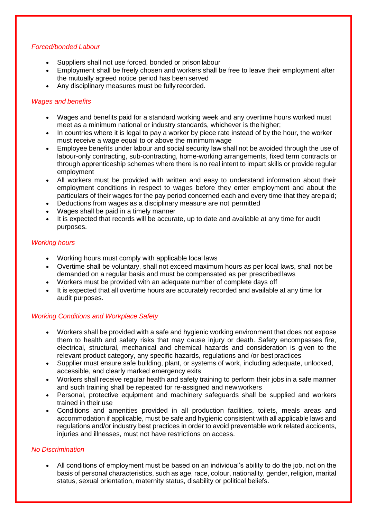#### *Forced/bonded Labour*

- Suppliers shall not use forced, bonded or prison labour
- Employment shall be freely chosen and workers shall be free to leave their employment after the mutually agreed notice period has been served
- Any disciplinary measures must be fully recorded.

## *Wages and benefits*

- Wages and benefits paid for a standard working week and any overtime hours worked must meet as a minimum national or industry standards, whichever is the higher;
- In countries where it is legal to pay a worker by piece rate instead of by the hour, the worker must receive a wage equal to or above the minimum wage
- Employee benefits under labour and social security law shall not be avoided through the use of labour-only contracting, sub-contracting, home-working arrangements, fixed term contracts or through apprenticeship schemes where there is no real intent to impart skills or provide regular employment
- All workers must be provided with written and easy to understand information about their employment conditions in respect to wages before they enter employment and about the particulars of their wages for the pay period concerned each and every time that they arepaid;
- Deductions from wages as a disciplinary measure are not permitted
- Wages shall be paid in a timely manner
- It is expected that records will be accurate, up to date and available at any time for audit purposes.

#### *Working hours*

- Working hours must comply with applicable local laws
- Overtime shall be voluntary, shall not exceed maximum hours as per local laws, shall not be demanded on a regular basis and must be compensated as per prescribed laws
- Workers must be provided with an adequate number of complete days off
- It is expected that all overtime hours are accurately recorded and available at any time for audit purposes.

## *Working Conditions and Workplace Safety*

- Workers shall be provided with a safe and hygienic working environment that does not expose them to health and safety risks that may cause injury or death. Safety encompasses fire, electrical, structural, mechanical and chemical hazards and consideration is given to the relevant product category, any specific hazards, regulations and /or bestpractices
- Supplier must ensure safe building, plant, or systems of work, including adequate, unlocked, accessible, and clearly marked emergency exits
- Workers shall receive regular health and safety training to perform their jobs in a safe manner and such training shall be repeated for re-assigned and newworkers
- Personal, protective equipment and machinery safeguards shall be supplied and workers trained in their use
- Conditions and amenities provided in all production facilities, toilets, meals areas and accommodation if applicable, must be safe and hygienic consistent with all applicable laws and regulations and/or industry best practices in order to avoid preventable work related accidents, injuries and illnesses, must not have restrictions on access.

## *No Discrimination*

 All conditions of employment must be based on an individual's ability to do the job, not on the basis of personal characteristics, such as age, race, colour, nationality, gender, religion, marital status, sexual orientation, maternity status, disability or political beliefs.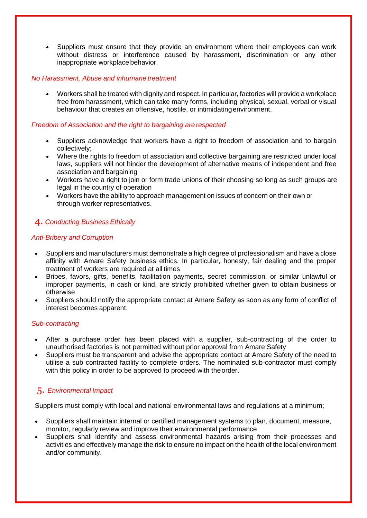Suppliers must ensure that they provide an environment where their employees can work without distress or interference caused by harassment, discrimination or any other inappropriate workplace behavior.

#### *No Harassment, Abuse and inhumane treatment*

 Workers shall be treated with dignity and respect. In particular, factories will provide a workplace free from harassment, which can take many forms, including physical, sexual, verbal or visual behaviour that creates an offensive, hostile, or intimidatingenvironment.

#### *Freedom of Association and the right to bargaining are respected*

- Suppliers acknowledge that workers have a right to freedom of association and to bargain collectively;
- Where the rights to freedom of association and collective bargaining are restricted under local laws, suppliers will not hinder the development of alternative means of independent and free association and bargaining
- Workers have a right to join or form trade unions of their choosing so long as such groups are legal in the country of operation
- Workers have the ability to approach management on issues of concern on their own or through worker representatives.

## 4. *Conducting Business Ethically*

#### *Anti-Bribery and Corruption*

- Suppliers and manufacturers must demonstrate a high degree of professionalism and have a close affinity with Amare Safety business ethics. In particular, honesty, fair dealing and the proper treatment of workers are required at all times
- Bribes, favors, gifts, benefits, facilitation payments, secret commission, or similar unlawful or improper payments, in cash or kind, are strictly prohibited whether given to obtain business or otherwise
- Suppliers should notify the appropriate contact at Amare Safety as soon as any form of conflict of interest becomes apparent.

#### *Sub-contracting*

- After a purchase order has been placed with a supplier, sub-contracting of the order to unauthorised factories is not permitted without prior approval from Amare Safety
- Suppliers must be transparent and advise the appropriate contact at Amare Safety of the need to utilise a sub contracted facility to complete orders. The nominated sub-contractor must comply with this policy in order to be approved to proceed with theorder.

## 5. *Environmental Impact*

Suppliers must comply with local and national environmental laws and regulations at a minimum;

- Suppliers shall maintain internal or certified management systems to plan, document, measure, monitor, regularly review and improve their environmental performance
- Suppliers shall identify and assess environmental hazards arising from their processes and activities and effectively manage the risk to ensure no impact on the health of the local environment and/or community.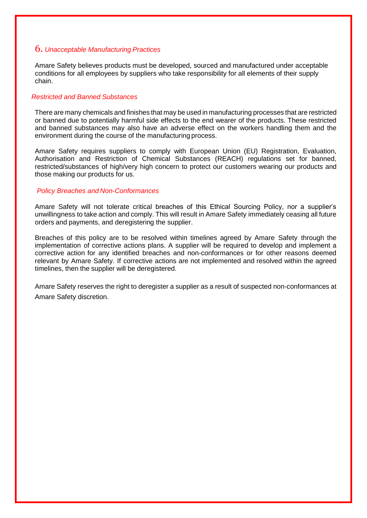#### 6. *Unacceptable Manufacturing Practices*

Amare Safety believes products must be developed, sourced and manufactured under acceptable conditions for all employees by suppliers who take responsibility for all elements of their supply chain.

#### *Restricted and Banned Substances*

There are many chemicals and finishes that may be used in manufacturing processes that are restricted or banned due to potentially harmful side effects to the end wearer of the products. These restricted and banned substances may also have an adverse effect on the workers handling them and the environment during the course of the manufacturing process.

Amare Safety requires suppliers to comply with European Union (EU) Registration, Evaluation, Authorisation and Restriction of Chemical Substances (REACH) regulations set for banned, restricted/substances of high/very high concern to protect our customers wearing our products and those making our products for us.

#### *Policy Breaches and Non-Conformances*

Amare Safety will not tolerate critical breaches of this Ethical Sourcing Policy, nor a supplier's unwillingness to take action and comply. This will result in Amare Safety immediately ceasing all future orders and payments, and deregistering the supplier.

Breaches of this policy are to be resolved within timelines agreed by Amare Safety through the implementation of corrective actions plans. A supplier will be required to develop and implement a corrective action for any identified breaches and non-conformances or for other reasons deemed relevant by Amare Safety. If corrective actions are not implemented and resolved within the agreed timelines, then the supplier will be deregistered.

Amare Safety reserves the right to deregister a supplier as a result of suspected non-conformances at Amare Safety discretion.